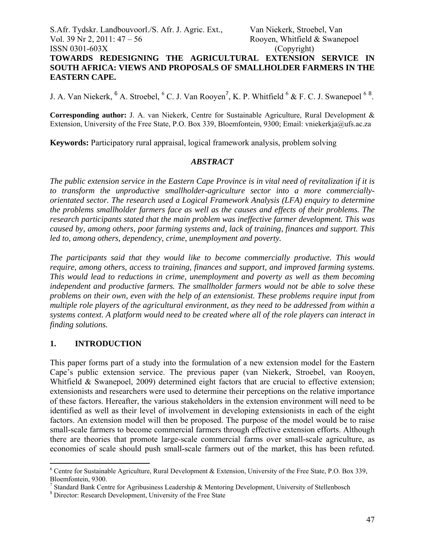## S.Afr. Tydskr. Landbouvoorl./S. Afr. J. Agric. Ext., Van Niekerk, Stroebel, Van Vol. 39 Nr 2, 2011:  $47 - 56$  Rooyen, Whitfield & Swanepoel ISSN 0301-603X (Copyright) **TOWARDS REDESIGNING THE AGRICULTURAL EXTENSION SERVICE IN SOUTH AFRICA: VIEWS AND PROPOSALS OF SMALLHOLDER FARMERS IN THE EASTERN CAPE.**

J. A. Van Niekerk,  $6$  A. Stroebel,  $6$  C. J. Van Rooyen<sup>7</sup>, K. P. Whitfield  $6$  & F. C. J. Swanepoel  $68$ .

**Corresponding author:** J. A. van Niekerk, Centre for Sustainable Agriculture, Rural Development & Extension, University of the Free State, P.O. Box 339, Bloemfontein, 9300; Email: vniekerkja@ufs.ac.za

**Keywords:** Participatory rural appraisal, logical framework analysis, problem solving

#### *ABSTRACT*

*The public extension service in the Eastern Cape Province is in vital need of revitalization if it is to transform the unproductive smallholder-agriculture sector into a more commerciallyorientated sector. The research used a Logical Framework Analysis (LFA) enquiry to determine the problems smallholder farmers face as well as the causes and effects of their problems. The research participants stated that the main problem was ineffective farmer development. This was caused by, among others, poor farming systems and, lack of training, finances and support. This led to, among others, dependency, crime, unemployment and poverty.* 

*The participants said that they would like to become commercially productive. This would require, among others, access to training, finances and support, and improved farming systems. This would lead to reductions in crime, unemployment and poverty as well as them becoming independent and productive farmers. The smallholder farmers would not be able to solve these problems on their own, even with the help of an extensionist. These problems require input from multiple role players of the agricultural environment, as they need to be addressed from within a systems context. A platform would need to be created where all of the role players can interact in finding solutions.* 

### **1. INTRODUCTION**

 $\overline{a}$ 

This paper forms part of a study into the formulation of a new extension model for the Eastern Cape's public extension service. The previous paper (van Niekerk, Stroebel, van Rooyen, Whitfield & Swanepoel, 2009) determined eight factors that are crucial to effective extension; extensionists and researchers were used to determine their perceptions on the relative importance of these factors. Hereafter, the various stakeholders in the extension environment will need to be identified as well as their level of involvement in developing extensionists in each of the eight factors. An extension model will then be proposed. The purpose of the model would be to raise small-scale farmers to become commercial farmers through effective extension efforts. Although there are theories that promote large-scale commercial farms over small-scale agriculture, as economies of scale should push small-scale farmers out of the market, this has been refuted.

 $6$  Centre for Sustainable Agriculture, Rural Development & Extension, University of the Free State, P.O. Box 339, Bloemfontein, 9300.

<sup>&</sup>lt;sup>7</sup> Standard Bank Centre for Agribusiness Leadership & Mentoring Development, University of Stellenbosch

<sup>8</sup> Director: Research Development, University of the Free State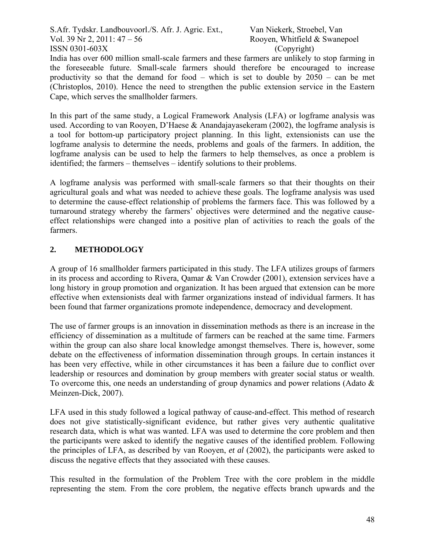India has over 600 million small-scale farmers and these farmers are unlikely to stop farming in the foreseeable future. Small-scale farmers should therefore be encouraged to increase productivity so that the demand for food – which is set to double by 2050 – can be met (Christoplos, 2010). Hence the need to strengthen the public extension service in the Eastern Cape, which serves the smallholder farmers.

In this part of the same study, a Logical Framework Analysis (LFA) or logframe analysis was used. According to van Rooyen, D'Haese & Anandajayasekeram (2002), the logframe analysis is a tool for bottom-up participatory project planning. In this light, extensionists can use the logframe analysis to determine the needs, problems and goals of the farmers. In addition, the logframe analysis can be used to help the farmers to help themselves, as once a problem is identified; the farmers – themselves – identify solutions to their problems.

A logframe analysis was performed with small-scale farmers so that their thoughts on their agricultural goals and what was needed to achieve these goals. The logframe analysis was used to determine the cause-effect relationship of problems the farmers face. This was followed by a turnaround strategy whereby the farmers' objectives were determined and the negative causeeffect relationships were changed into a positive plan of activities to reach the goals of the farmers.

# **2. METHODOLOGY**

A group of 16 smallholder farmers participated in this study. The LFA utilizes groups of farmers in its process and according to Rivera, Qamar & Van Crowder (2001), extension services have a long history in group promotion and organization. It has been argued that extension can be more effective when extensionists deal with farmer organizations instead of individual farmers. It has been found that farmer organizations promote independence, democracy and development.

The use of farmer groups is an innovation in dissemination methods as there is an increase in the efficiency of dissemination as a multitude of farmers can be reached at the same time. Farmers within the group can also share local knowledge amongst themselves. There is, however, some debate on the effectiveness of information dissemination through groups. In certain instances it has been very effective, while in other circumstances it has been a failure due to conflict over leadership or resources and domination by group members with greater social status or wealth. To overcome this, one needs an understanding of group dynamics and power relations (Adato & Meinzen-Dick, 2007).

LFA used in this study followed a logical pathway of cause-and-effect. This method of research does not give statistically-significant evidence, but rather gives very authentic qualitative research data, which is what was wanted. LFA was used to determine the core problem and then the participants were asked to identify the negative causes of the identified problem. Following the principles of LFA, as described by van Rooyen, *et al* (2002), the participants were asked to discuss the negative effects that they associated with these causes.

This resulted in the formulation of the Problem Tree with the core problem in the middle representing the stem. From the core problem, the negative effects branch upwards and the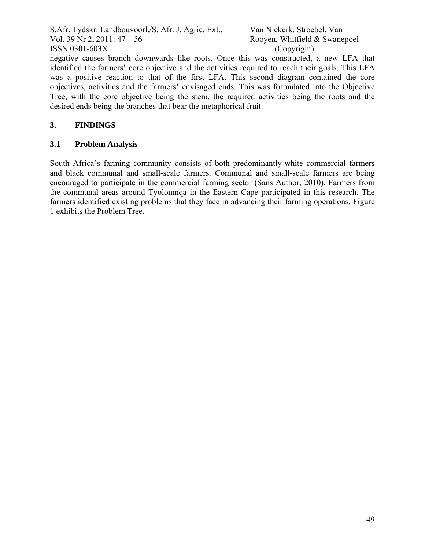negative causes branch downwards like roots. Once this was constructed, a new LFA that identified the farmers' core objective and the activities required to reach their goals. This LFA was a positive reaction to that of the first LFA. This second diagram contained the core objectives, activities and the farmers' envisaged ends. This was formulated into the Objective Tree, with the core objective being the stem, the required activities being the roots and the desired ends being the branches that bear the metaphorical fruit.

## **3. FINDINGS**

### **3.1 Problem Analysis**

South Africa's farming community consists of both predominantly-white commercial farmers and black communal and small-scale farmers. Communal and small-scale farmers are being encouraged to participate in the commercial farming sector (Sans Author, 2010). Farmers from the communal areas around Tyolomnqa in the Eastern Cape participated in this research. The farmers identified existing problems that they face in advancing their farming operations. Figure 1 exhibits the Problem Tree.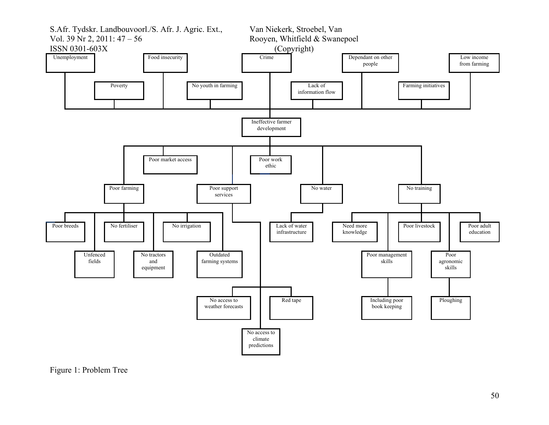

Figure 1: Problem Tree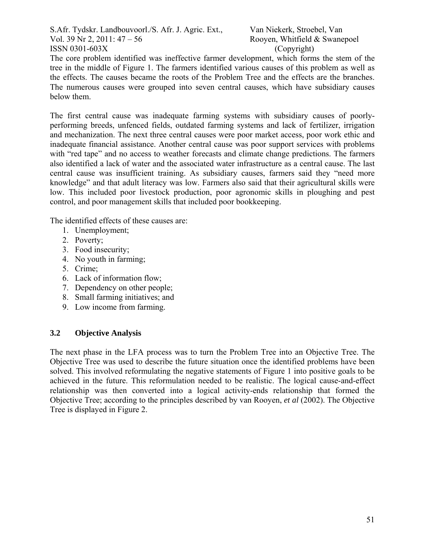The core problem identified was ineffective farmer development, which forms the stem of the tree in the middle of Figure 1. The farmers identified various causes of this problem as well as the effects. The causes became the roots of the Problem Tree and the effects are the branches. The numerous causes were grouped into seven central causes, which have subsidiary causes below them.

The first central cause was inadequate farming systems with subsidiary causes of poorlyperforming breeds, unfenced fields, outdated farming systems and lack of fertilizer, irrigation and mechanization. The next three central causes were poor market access, poor work ethic and inadequate financial assistance. Another central cause was poor support services with problems with "red tape" and no access to weather forecasts and climate change predictions. The farmers also identified a lack of water and the associated water infrastructure as a central cause. The last central cause was insufficient training. As subsidiary causes, farmers said they "need more knowledge" and that adult literacy was low. Farmers also said that their agricultural skills were low. This included poor livestock production, poor agronomic skills in ploughing and pest control, and poor management skills that included poor bookkeeping.

The identified effects of these causes are:

- 1. Unemployment;
- 2. Poverty;
- 3. Food insecurity;
- 4. No youth in farming;
- 5. Crime;
- 6. Lack of information flow;
- 7. Dependency on other people;
- 8. Small farming initiatives; and
- 9. Low income from farming.

# **3.2 Objective Analysis**

The next phase in the LFA process was to turn the Problem Tree into an Objective Tree. The Objective Tree was used to describe the future situation once the identified problems have been solved. This involved reformulating the negative statements of Figure 1 into positive goals to be achieved in the future. This reformulation needed to be realistic. The logical cause-and-effect relationship was then converted into a logical activity-ends relationship that formed the Objective Tree; according to the principles described by van Rooyen, *et al* (2002). The Objective Tree is displayed in Figure 2.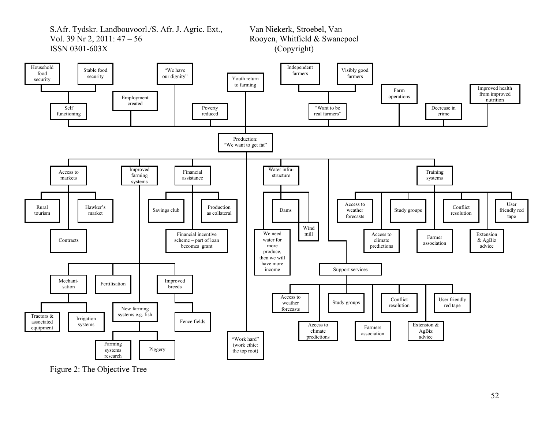

Figure 2: The Objective Tree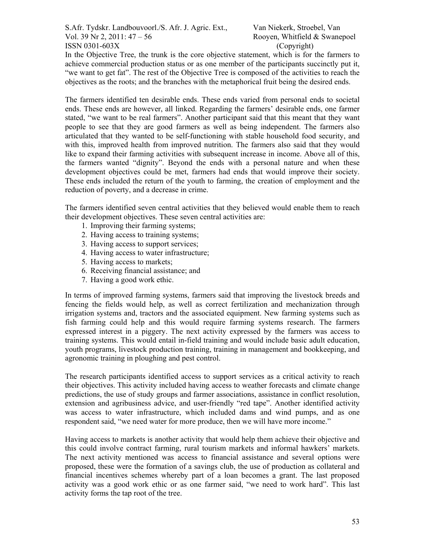In the Objective Tree, the trunk is the core objective statement, which is for the farmers to achieve commercial production status or as one member of the participants succinctly put it, "we want to get fat". The rest of the Objective Tree is composed of the activities to reach the objectives as the roots; and the branches with the metaphorical fruit being the desired ends.

The farmers identified ten desirable ends. These ends varied from personal ends to societal ends. These ends are however, all linked. Regarding the farmers' desirable ends, one farmer stated, "we want to be real farmers". Another participant said that this meant that they want people to see that they are good farmers as well as being independent. The farmers also articulated that they wanted to be self-functioning with stable household food security, and with this, improved health from improved nutrition. The farmers also said that they would like to expand their farming activities with subsequent increase in income. Above all of this, the farmers wanted "dignity". Beyond the ends with a personal nature and when these development objectives could be met, farmers had ends that would improve their society. These ends included the return of the youth to farming, the creation of employment and the reduction of poverty, and a decrease in crime.

The farmers identified seven central activities that they believed would enable them to reach their development objectives. These seven central activities are:

- 1. Improving their farming systems;
- 2. Having access to training systems;
- 3. Having access to support services;
- 4. Having access to water infrastructure;
- 5. Having access to markets;
- 6. Receiving financial assistance; and
- 7. Having a good work ethic.

In terms of improved farming systems, farmers said that improving the livestock breeds and fencing the fields would help, as well as correct fertilization and mechanization through irrigation systems and, tractors and the associated equipment. New farming systems such as fish farming could help and this would require farming systems research. The farmers expressed interest in a piggery. The next activity expressed by the farmers was access to training systems. This would entail in-field training and would include basic adult education, youth programs, livestock production training, training in management and bookkeeping, and agronomic training in ploughing and pest control.

The research participants identified access to support services as a critical activity to reach their objectives. This activity included having access to weather forecasts and climate change predictions, the use of study groups and farmer associations, assistance in conflict resolution, extension and agribusiness advice, and user-friendly "red tape". Another identified activity was access to water infrastructure, which included dams and wind pumps, and as one respondent said, "we need water for more produce, then we will have more income."

Having access to markets is another activity that would help them achieve their objective and this could involve contract farming, rural tourism markets and informal hawkers' markets. The next activity mentioned was access to financial assistance and several options were proposed, these were the formation of a savings club, the use of production as collateral and financial incentives schemes whereby part of a loan becomes a grant. The last proposed activity was a good work ethic or as one farmer said, "we need to work hard". This last activity forms the tap root of the tree.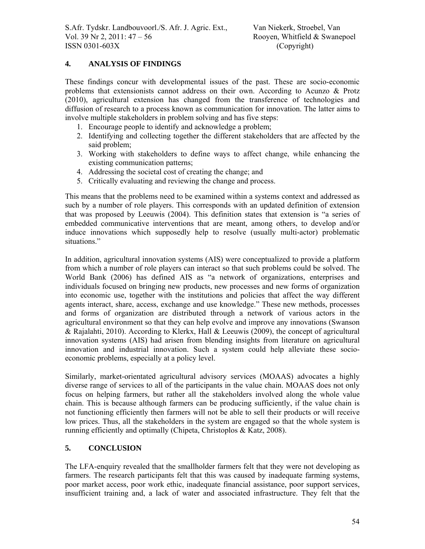## **4. ANALYSIS OF FINDINGS**

These findings concur with developmental issues of the past. These are socio-economic problems that extensionists cannot address on their own. According to Acunzo & Protz (2010), agricultural extension has changed from the transference of technologies and diffusion of research to a process known as communication for innovation. The latter aims to involve multiple stakeholders in problem solving and has five steps:

- 1. Encourage people to identify and acknowledge a problem;
- 2. Identifying and collecting together the different stakeholders that are affected by the said problem;
- 3. Working with stakeholders to define ways to affect change, while enhancing the existing communication patterns;
- 4. Addressing the societal cost of creating the change; and
- 5. Critically evaluating and reviewing the change and process.

This means that the problems need to be examined within a systems context and addressed as such by a number of role players. This corresponds with an updated definition of extension that was proposed by Leeuwis (2004). This definition states that extension is "a series of embedded communicative interventions that are meant, among others, to develop and/or induce innovations which supposedly help to resolve (usually multi-actor) problematic situations."

In addition, agricultural innovation systems (AIS) were conceptualized to provide a platform from which a number of role players can interact so that such problems could be solved. The World Bank (2006) has defined AIS as "a network of organizations, enterprises and individuals focused on bringing new products, new processes and new forms of organization into economic use, together with the institutions and policies that affect the way different agents interact, share, access, exchange and use knowledge." These new methods, processes and forms of organization are distributed through a network of various actors in the agricultural environment so that they can help evolve and improve any innovations (Swanson & Rajalahti, 2010). According to Klerkx, Hall & Leeuwis (2009), the concept of agricultural innovation systems (AIS) had arisen from blending insights from literature on agricultural innovation and industrial innovation. Such a system could help alleviate these socioeconomic problems, especially at a policy level.

Similarly, market-orientated agricultural advisory services (MOAAS) advocates a highly diverse range of services to all of the participants in the value chain. MOAAS does not only focus on helping farmers, but rather all the stakeholders involved along the whole value chain. This is because although farmers can be producing sufficiently, if the value chain is not functioning efficiently then farmers will not be able to sell their products or will receive low prices. Thus, all the stakeholders in the system are engaged so that the whole system is running efficiently and optimally (Chipeta, Christoplos & Katz, 2008).

### **5. CONCLUSION**

The LFA-enquiry revealed that the smallholder farmers felt that they were not developing as farmers. The research participants felt that this was caused by inadequate farming systems, poor market access, poor work ethic, inadequate financial assistance, poor support services, insufficient training and, a lack of water and associated infrastructure. They felt that the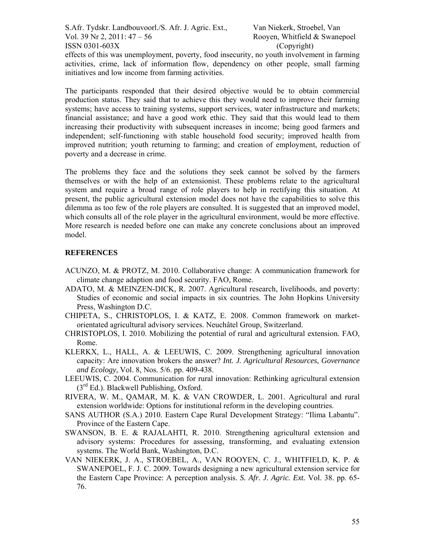effects of this was unemployment, poverty, food insecurity, no youth involvement in farming activities, crime, lack of information flow, dependency on other people, small farming initiatives and low income from farming activities.

The participants responded that their desired objective would be to obtain commercial production status. They said that to achieve this they would need to improve their farming systems; have access to training systems, support services, water infrastructure and markets; financial assistance; and have a good work ethic. They said that this would lead to them increasing their productivity with subsequent increases in income; being good farmers and independent; self-functioning with stable household food security; improved health from improved nutrition; youth returning to farming; and creation of employment, reduction of poverty and a decrease in crime.

The problems they face and the solutions they seek cannot be solved by the farmers themselves or with the help of an extensionist. These problems relate to the agricultural system and require a broad range of role players to help in rectifying this situation. At present, the public agricultural extension model does not have the capabilities to solve this dilemma as too few of the role players are consulted. It is suggested that an improved model, which consults all of the role player in the agricultural environment, would be more effective. More research is needed before one can make any concrete conclusions about an improved model.

#### **REFERENCES**

- ACUNZO, M. & PROTZ, M. 2010. Collaborative change: A communication framework for climate change adaption and food security. FAO, Rome.
- ADATO, M. & MEINZEN-DICK, R. 2007. Agricultural research, livelihoods, and poverty: Studies of economic and social impacts in six countries. The John Hopkins University Press, Washington D.C.
- CHIPETA, S., CHRISTOPLOS, I. & KATZ, E. 2008. Common framework on marketorientated agricultural advisory services. Neuchâtel Group, Switzerland.
- CHRISTOPLOS, I. 2010. Mobilizing the potential of rural and agricultural extension*.* FAO, Rome.
- KLERKX, L., HALL, A. & LEEUWIS, C. 2009. Strengthening agricultural innovation capacity: Are innovation brokers the answer? *Int. J. Agricultural Resources, Governance and Ecology,* Vol. 8, Nos. 5/6. pp. 409-438.
- LEEUWIS, C. 2004. Communication for rural innovation: Rethinking agricultural extension  $(3<sup>rd</sup> Ed.)$ . Blackwell Publishing, Oxford.
- RIVERA, W. M., QAMAR, M. K. & VAN CROWDER, L. 2001. Agricultural and rural extension worldwide: Options for institutional reform in the developing countries.
- SANS AUTHOR (S.A.) 2010. Eastern Cape Rural Development Strategy: "Ilima Labantu". Province of the Eastern Cape.
- SWANSON, B. E. & RAJALAHTI, R. 2010. Strengthening agricultural extension and advisory systems: Procedures for assessing, transforming, and evaluating extension systems. The World Bank, Washington, D.C.
- VAN NIEKERK, J. A., STROEBEL, A., VAN ROOYEN, C. J., WHITFIELD, K. P. & SWANEPOEL, F. J. C. 2009. Towards designing a new agricultural extension service for the Eastern Cape Province: A perception analysis. *S. Afr. J. Agric. Ext.* Vol. 38. pp. 65- 76.